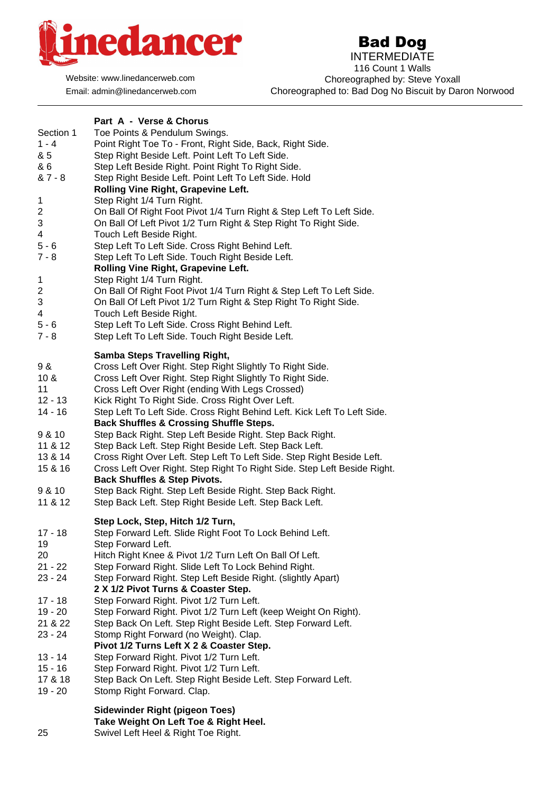

Website: www.linedancerweb.com Email: admin@linedancerweb.com

## Bad Dog

INTERMEDIATE 116 Count 1 Walls Choreographed by: Steve Yoxall Choreographed to: Bad Dog No Biscuit by Daron Norwood

| Section 1<br>$1 - 4$<br>& 5<br>& 6<br>& 7 - 8<br>$\mathbf 1$<br>2<br>3<br>4<br>$5 - 6$<br>$7 - 8$<br>$\mathbf 1$<br>2<br>3<br>4<br>$5 - 6$<br>$7 - 8$ | Part A - Verse & Chorus<br>Toe Points & Pendulum Swings.<br>Point Right Toe To - Front, Right Side, Back, Right Side.<br>Step Right Beside Left. Point Left To Left Side.<br>Step Left Beside Right. Point Right To Right Side.<br>Step Right Beside Left. Point Left To Left Side. Hold<br>Rolling Vine Right, Grapevine Left.<br>Step Right 1/4 Turn Right.<br>On Ball Of Right Foot Pivot 1/4 Turn Right & Step Left To Left Side.<br>On Ball Of Left Pivot 1/2 Turn Right & Step Right To Right Side.<br>Touch Left Beside Right.<br>Step Left To Left Side. Cross Right Behind Left.<br>Step Left To Left Side. Touch Right Beside Left.<br>Rolling Vine Right, Grapevine Left.<br>Step Right 1/4 Turn Right.<br>On Ball Of Right Foot Pivot 1/4 Turn Right & Step Left To Left Side.<br>On Ball Of Left Pivot 1/2 Turn Right & Step Right To Right Side.<br>Touch Left Beside Right.<br>Step Left To Left Side. Cross Right Behind Left.<br>Step Left To Left Side. Touch Right Beside Left. |
|-------------------------------------------------------------------------------------------------------------------------------------------------------|----------------------------------------------------------------------------------------------------------------------------------------------------------------------------------------------------------------------------------------------------------------------------------------------------------------------------------------------------------------------------------------------------------------------------------------------------------------------------------------------------------------------------------------------------------------------------------------------------------------------------------------------------------------------------------------------------------------------------------------------------------------------------------------------------------------------------------------------------------------------------------------------------------------------------------------------------------------------------------------------------|
| 9 &<br>10 <sub>8</sub><br>11<br>$12 - 13$<br>$14 - 16$<br>9 & 10<br>11 & 12<br>13 & 14<br>15 & 16<br>9 & 10<br>11 & 12                                | <b>Samba Steps Travelling Right,</b><br>Cross Left Over Right. Step Right Slightly To Right Side.<br>Cross Left Over Right. Step Right Slightly To Right Side.<br>Cross Left Over Right (ending With Legs Crossed)<br>Kick Right To Right Side. Cross Right Over Left.<br>Step Left To Left Side. Cross Right Behind Left. Kick Left To Left Side.<br><b>Back Shuffles &amp; Crossing Shuffle Steps.</b><br>Step Back Right. Step Left Beside Right. Step Back Right.<br>Step Back Left. Step Right Beside Left. Step Back Left.<br>Cross Right Over Left. Step Left To Left Side. Step Right Beside Left.<br>Cross Left Over Right. Step Right To Right Side. Step Left Beside Right.<br><b>Back Shuffles &amp; Step Pivots.</b><br>Step Back Right. Step Left Beside Right. Step Back Right.<br>Step Back Left. Step Right Beside Left. Step Back Left.                                                                                                                                          |
| $17 - 18$<br>19<br>20<br>$21 - 22$<br>$23 - 24$<br>$17 - 18$<br>$19 - 20$<br>21 & 22<br>23 - 24<br>$13 - 14$<br>$15 - 16$<br>17 & 18<br>$19 - 20$     | Step Lock, Step, Hitch 1/2 Turn,<br>Step Forward Left. Slide Right Foot To Lock Behind Left.<br>Step Forward Left.<br>Hitch Right Knee & Pivot 1/2 Turn Left On Ball Of Left.<br>Step Forward Right. Slide Left To Lock Behind Right.<br>Step Forward Right. Step Left Beside Right. (slightly Apart)<br>2 X 1/2 Pivot Turns & Coaster Step.<br>Step Forward Right. Pivot 1/2 Turn Left.<br>Step Forward Right. Pivot 1/2 Turn Left (keep Weight On Right).<br>Step Back On Left. Step Right Beside Left. Step Forward Left.<br>Stomp Right Forward (no Weight). Clap.<br>Pivot 1/2 Turns Left X 2 & Coaster Step.<br>Step Forward Right. Pivot 1/2 Turn Left.<br>Step Forward Right. Pivot 1/2 Turn Left.<br>Step Back On Left. Step Right Beside Left. Step Forward Left.<br>Stomp Right Forward. Clap.                                                                                                                                                                                          |
|                                                                                                                                                       | <b>Sidewinder Right (pigeon Toes)</b><br>Take Weight On Left Toe & Right Heel.                                                                                                                                                                                                                                                                                                                                                                                                                                                                                                                                                                                                                                                                                                                                                                                                                                                                                                                     |

25 Swivel Left Heel & Right Toe Right.